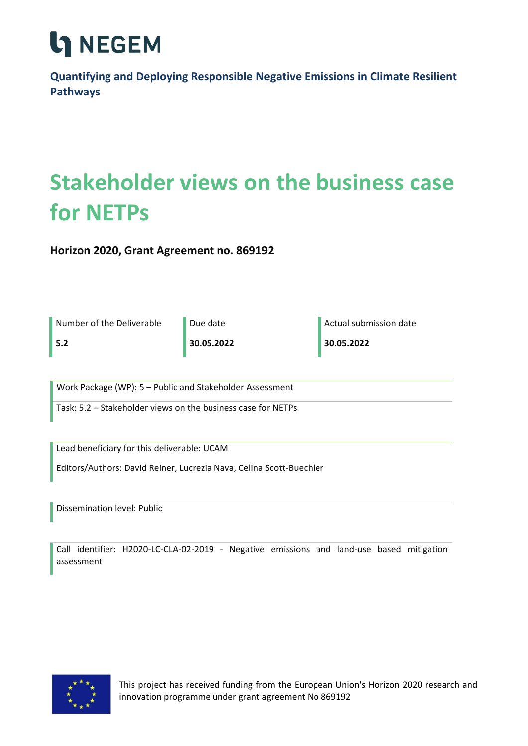

**Quantifying and Deploying Responsible Negative Emissions in Climate Resilient Pathways**

### **Stakeholder views on the business case for NETPs**

**Horizon 2020, Grant Agreement no. 869192**

| Number of the Deliverable                                           | Due date   | Actual submission date |  |  |  |
|---------------------------------------------------------------------|------------|------------------------|--|--|--|
| 5.2                                                                 | 30.05.2022 | 30.05.2022             |  |  |  |
|                                                                     |            |                        |  |  |  |
| Work Package (WP): 5 - Public and Stakeholder Assessment            |            |                        |  |  |  |
| Task: 5.2 – Stakeholder views on the business case for NETPs        |            |                        |  |  |  |
|                                                                     |            |                        |  |  |  |
| Lead beneficiary for this deliverable: UCAM                         |            |                        |  |  |  |
| Editors/Authors: David Reiner, Lucrezia Nava, Celina Scott-Buechler |            |                        |  |  |  |
|                                                                     |            |                        |  |  |  |
| <b>Dissemination level: Public</b>                                  |            |                        |  |  |  |
|                                                                     |            |                        |  |  |  |

Call identifier: H2020-LC-CLA-02-2019 - Negative emissions and land-use based mitigation assessment



This project has received funding from the European Union's Horizon 2020 research and innovation programme under grant agreement No 869192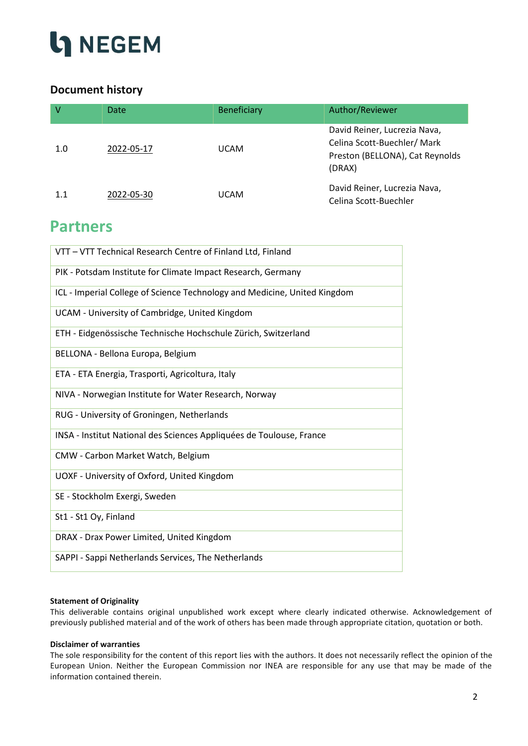

### **Document history**

| $\vee$ | Date       | <b>Beneficiary</b> | Author/Reviewer                                                                                         |
|--------|------------|--------------------|---------------------------------------------------------------------------------------------------------|
| 1.0    | 2022-05-17 | <b>UCAM</b>        | David Reiner, Lucrezia Nava,<br>Celina Scott-Buechler/Mark<br>Preston (BELLONA), Cat Reynolds<br>(DRAX) |
| 1.1    | 2022-05-30 | <b>UCAM</b>        | David Reiner, Lucrezia Nava,<br>Celina Scott-Buechler                                                   |

### **Partners**

| VTT - VTT Technical Research Centre of Finland Ltd, Finland               |
|---------------------------------------------------------------------------|
| PIK - Potsdam Institute for Climate Impact Research, Germany              |
| ICL - Imperial College of Science Technology and Medicine, United Kingdom |
| UCAM - University of Cambridge, United Kingdom                            |
| ETH - Eidgenössische Technische Hochschule Zürich, Switzerland            |
| BELLONA - Bellona Europa, Belgium                                         |
| ETA - ETA Energia, Trasporti, Agricoltura, Italy                          |
| NIVA - Norwegian Institute for Water Research, Norway                     |
| RUG - University of Groningen, Netherlands                                |
| INSA - Institut National des Sciences Appliquées de Toulouse, France      |
| CMW - Carbon Market Watch, Belgium                                        |
| UOXF - University of Oxford, United Kingdom                               |
| SE - Stockholm Exergi, Sweden                                             |
| St1 - St1 Oy, Finland                                                     |
| DRAX - Drax Power Limited, United Kingdom                                 |
| SAPPI - Sappi Netherlands Services, The Netherlands                       |

#### **Statement of Originality**

This deliverable contains original unpublished work except where clearly indicated otherwise. Acknowledgement of previously published material and of the work of others has been made through appropriate citation, quotation or both.

#### **Disclaimer of warranties**

The sole responsibility for the content of this report lies with the authors. It does not necessarily reflect the opinion of the European Union. Neither the European Commission nor INEA are responsible for any use that may be made of the information contained therein.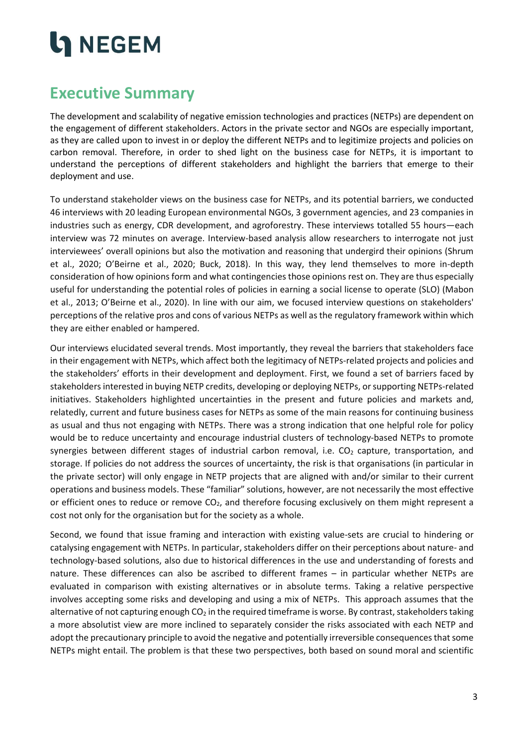### <span id="page-2-0"></span>**Executive Summary**

The development and scalability of negative emission technologies and practices (NETPs) are dependent on the engagement of different stakeholders. Actors in the private sector and NGOs are especially important, as they are called upon to invest in or deploy the different NETPs and to legitimize projects and policies on carbon removal. Therefore, in order to shed light on the business case for NETPs, it is important to understand the perceptions of different stakeholders and highlight the barriers that emerge to their deployment and use.

To understand stakeholder views on the business case for NETPs, and its potential barriers, we conducted 46 interviews with 20 leading European environmental NGOs, 3 government agencies, and 23 companies in industries such as energy, CDR development, and agroforestry. These interviews totalled 55 hours—each interview was 72 minutes on average. Interview-based analysis allow researchers to interrogate not just interviewees' overall opinions but also the motivation and reasoning that undergird their opinions (Shrum et al., 2020; O'Beirne et al., 2020; Buck, 2018). In this way, they lend themselves to more in-depth consideration of how opinions form and what contingencies those opinions rest on. They are thus especially useful for understanding the potential roles of policies in earning a social license to operate (SLO) (Mabon et al., 2013; O'Beirne et al., 2020). In line with our aim, we focused interview questions on stakeholders' perceptions of the relative pros and cons of various NETPs as well as the regulatory framework within which they are either enabled or hampered.

Our interviews elucidated several trends. Most importantly, they reveal the barriers that stakeholders face in their engagement with NETPs, which affect both the legitimacy of NETPs-related projects and policies and the stakeholders' efforts in their development and deployment. First, we found a set of barriers faced by stakeholders interested in buying NETP credits, developing or deploying NETPs, or supporting NETPs-related initiatives. Stakeholders highlighted uncertainties in the present and future policies and markets and, relatedly, current and future business cases for NETPs as some of the main reasons for continuing business as usual and thus not engaging with NETPs. There was a strong indication that one helpful role for policy would be to reduce uncertainty and encourage industrial clusters of technology-based NETPs to promote synergies between different stages of industrial carbon removal, i.e.  $CO<sub>2</sub>$  capture, transportation, and storage. If policies do not address the sources of uncertainty, the risk is that organisations (in particular in the private sector) will only engage in NETP projects that are aligned with and/or similar to their current operations and business models. These "familiar" solutions, however, are not necessarily the most effective or efficient ones to reduce or remove  $CO<sub>2</sub>$ , and therefore focusing exclusively on them might represent a cost not only for the organisation but for the society as a whole.

Second, we found that issue framing and interaction with existing value-sets are crucial to hindering or catalysing engagement with NETPs. In particular, stakeholders differ on their perceptions about nature- and technology-based solutions, also due to historical differences in the use and understanding of forests and nature. These differences can also be ascribed to different frames – in particular whether NETPs are evaluated in comparison with existing alternatives or in absolute terms. Taking a relative perspective involves accepting some risks and developing and using a mix of NETPs. This approach assumes that the alternative of not capturing enough  $CO<sub>2</sub>$  in the required timeframe is worse. By contrast, stakeholders taking a more absolutist view are more inclined to separately consider the risks associated with each NETP and adopt the precautionary principle to avoid the negative and potentially irreversible consequences that some NETPs might entail. The problem is that these two perspectives, both based on sound moral and scientific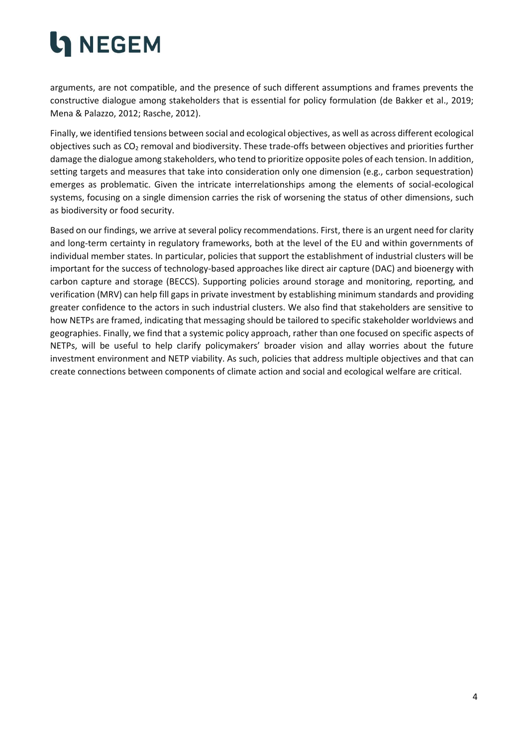arguments, are not compatible, and the presence of such different assumptions and frames prevents the constructive dialogue among stakeholders that is essential for policy formulation (de Bakker et al., 2019; Mena & Palazzo, 2012; Rasche, 2012).

Finally, we identified tensions between social and ecological objectives, as well as across different ecological objectives such as  $CO<sub>2</sub>$  removal and biodiversity. These trade-offs between objectives and priorities further damage the dialogue among stakeholders, who tend to prioritize opposite poles of each tension. In addition, setting targets and measures that take into consideration only one dimension (e.g., carbon sequestration) emerges as problematic. Given the intricate interrelationships among the elements of social-ecological systems, focusing on a single dimension carries the risk of worsening the status of other dimensions, such as biodiversity or food security.

Based on our findings, we arrive at several policy recommendations. First, there is an urgent need for clarity and long-term certainty in regulatory frameworks, both at the level of the EU and within governments of individual member states. In particular, policies that support the establishment of industrial clusters will be important for the success of technology-based approaches like direct air capture (DAC) and bioenergy with carbon capture and storage (BECCS). Supporting policies around storage and monitoring, reporting, and verification (MRV) can help fill gaps in private investment by establishing minimum standards and providing greater confidence to the actors in such industrial clusters. We also find that stakeholders are sensitive to how NETPs are framed, indicating that messaging should be tailored to specific stakeholder worldviews and geographies. Finally, we find that a systemic policy approach, rather than one focused on specific aspects of NETPs, will be useful to help clarify policymakers' broader vision and allay worries about the future investment environment and NETP viability. As such, policies that address multiple objectives and that can create connections between components of climate action and social and ecological welfare are critical.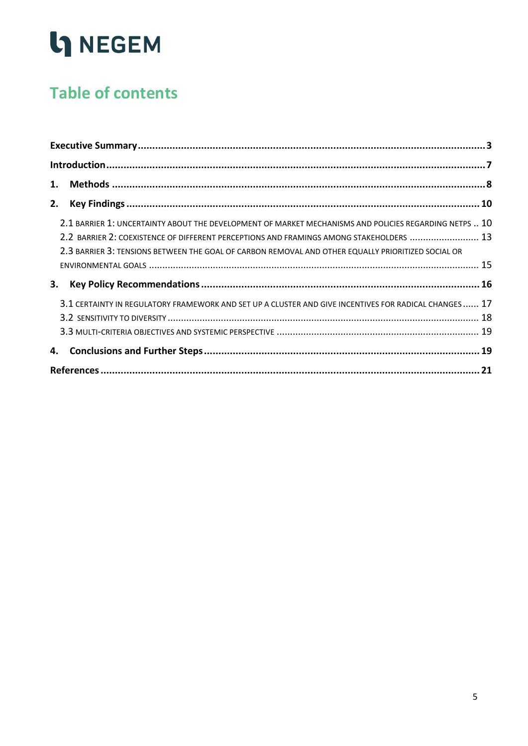### **Table of contents**

| 2.1 BARRIER 1: UNCERTAINTY ABOUT THE DEVELOPMENT OF MARKET MECHANISMS AND POLICIES REGARDING NETPS  10 |  |  |  |  |
|--------------------------------------------------------------------------------------------------------|--|--|--|--|
| 2.2 BARRIER 2: COEXISTENCE OF DIFFERENT PERCEPTIONS AND FRAMINGS AMONG STAKEHOLDERS  13                |  |  |  |  |
| 2.3 BARRIER 3: TENSIONS BETWEEN THE GOAL OF CARBON REMOVAL AND OTHER EQUALLY PRIORITIZED SOCIAL OR     |  |  |  |  |
|                                                                                                        |  |  |  |  |
| 3.                                                                                                     |  |  |  |  |
| 3.1 CERTAINTY IN REGULATORY FRAMEWORK AND SET UP A CLUSTER AND GIVE INCENTIVES FOR RADICAL CHANGES  17 |  |  |  |  |
|                                                                                                        |  |  |  |  |
|                                                                                                        |  |  |  |  |
|                                                                                                        |  |  |  |  |
|                                                                                                        |  |  |  |  |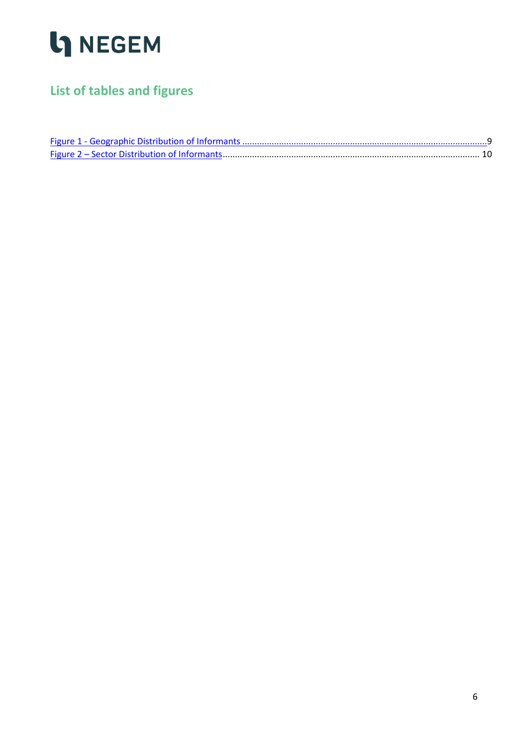

### **List of tables and figures**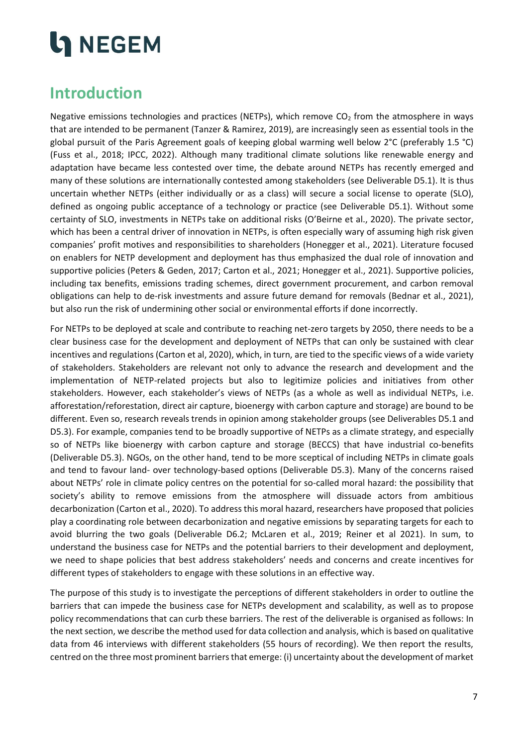### <span id="page-6-0"></span>**Introduction**

Negative emissions technologies and practices (NETPs), which remove  $CO<sub>2</sub>$  from the atmosphere in ways that are intended to be permanent (Tanzer & Ramirez, 2019), are increasingly seen as essential tools in the global pursuit of the Paris Agreement goals of keeping global warming well below 2°C (preferably 1.5 °C) (Fuss et al., 2018; IPCC, 2022). Although many traditional climate solutions like renewable energy and adaptation have became less contested over time, the debate around NETPs has recently emerged and many of these solutions are internationally contested among stakeholders (see Deliverable D5.1). It is thus uncertain whether NETPs (either individually or as a class) will secure a social license to operate (SLO), defined as ongoing public acceptance of a technology or practice (see Deliverable D5.1). Without some certainty of SLO, investments in NETPs take on additional risks (O'Beirne et al., 2020). The private sector, which has been a central driver of innovation in NETPs, is often especially wary of assuming high risk given companies' profit motives and responsibilities to shareholders (Honegger et al., 2021). Literature focused on enablers for NETP development and deployment has thus emphasized the dual role of innovation and supportive policies (Peters & Geden, 2017; Carton et al., 2021; Honegger et al., 2021). Supportive policies, including tax benefits, emissions trading schemes, direct government procurement, and carbon removal obligations can help to de-risk investments and assure future demand for removals (Bednar et al., 2021), but also run the risk of undermining other social or environmental efforts if done incorrectly.

For NETPs to be deployed at scale and contribute to reaching net-zero targets by 2050, there needs to be a clear business case for the development and deployment of NETPs that can only be sustained with clear incentives and regulations (Carton et al, 2020), which, in turn, are tied to the specific views of a wide variety of stakeholders. Stakeholders are relevant not only to advance the research and development and the implementation of NETP-related projects but also to legitimize policies and initiatives from other stakeholders. However, each stakeholder's views of NETPs (as a whole as well as individual NETPs, i.e. afforestation/reforestation, direct air capture, bioenergy with carbon capture and storage) are bound to be different. Even so, research reveals trends in opinion among stakeholder groups (see Deliverables D5.1 and D5.3). For example, companies tend to be broadly supportive of NETPs as a climate strategy, and especially so of NETPs like bioenergy with carbon capture and storage (BECCS) that have industrial co-benefits (Deliverable D5.3). NGOs, on the other hand, tend to be more sceptical of including NETPs in climate goals and tend to favour land- over technology-based options (Deliverable D5.3). Many of the concerns raised about NETPs' role in climate policy centres on the potential for so-called moral hazard: the possibility that society's ability to remove emissions from the atmosphere will dissuade actors from ambitious decarbonization (Carton et al., 2020). To address this moral hazard, researchers have proposed that policies play a coordinating role between decarbonization and negative emissions by separating targets for each to avoid blurring the two goals (Deliverable D6.2; McLaren et al., 2019; Reiner et al 2021). In sum, to understand the business case for NETPs and the potential barriers to their development and deployment, we need to shape policies that best address stakeholders' needs and concerns and create incentives for different types of stakeholders to engage with these solutions in an effective way.

The purpose of this study is to investigate the perceptions of different stakeholders in order to outline the barriers that can impede the business case for NETPs development and scalability, as well as to propose policy recommendations that can curb these barriers. The rest of the deliverable is organised as follows: In the next section, we describe the method used for data collection and analysis, which is based on qualitative data from 46 interviews with different stakeholders (55 hours of recording). We then report the results, centred on the three most prominent barriers that emerge: (i) uncertainty about the development of market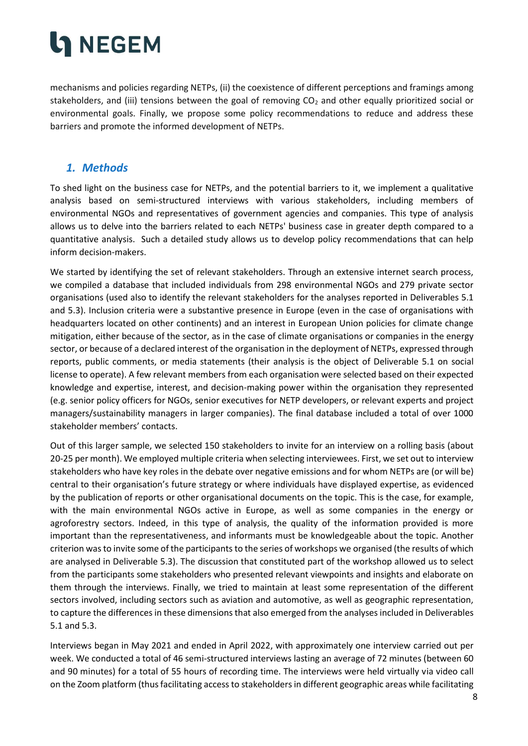mechanisms and policies regarding NETPs, (ii) the coexistence of different perceptions and framings among stakeholders, and (iii) tensions between the goal of removing  $CO<sub>2</sub>$  and other equally prioritized social or environmental goals. Finally, we propose some policy recommendations to reduce and address these barriers and promote the informed development of NETPs.

### <span id="page-7-0"></span>*1. Methods*

To shed light on the business case for NETPs, and the potential barriers to it, we implement a qualitative analysis based on semi-structured interviews with various stakeholders, including members of environmental NGOs and representatives of government agencies and companies. This type of analysis allows us to delve into the barriers related to each NETPs' business case in greater depth compared to a quantitative analysis. Such a detailed study allows us to develop policy recommendations that can help inform decision-makers.

We started by identifying the set of relevant stakeholders. Through an extensive internet search process, we compiled a database that included individuals from 298 environmental NGOs and 279 private sector organisations (used also to identify the relevant stakeholders for the analyses reported in Deliverables 5.1 and 5.3). Inclusion criteria were a substantive presence in Europe (even in the case of organisations with headquarters located on other continents) and an interest in European Union policies for climate change mitigation, either because of the sector, as in the case of climate organisations or companies in the energy sector, or because of a declared interest of the organisation in the deployment of NETPs, expressed through reports, public comments, or media statements (their analysis is the object of Deliverable 5.1 on social license to operate). A few relevant members from each organisation were selected based on their expected knowledge and expertise, interest, and decision-making power within the organisation they represented (e.g. senior policy officers for NGOs, senior executives for NETP developers, or relevant experts and project managers/sustainability managers in larger companies). The final database included a total of over 1000 stakeholder members' contacts.

Out of this larger sample, we selected 150 stakeholders to invite for an interview on a rolling basis (about 20-25 per month). We employed multiple criteria when selecting interviewees. First, we set out to interview stakeholders who have key roles in the debate over negative emissions and for whom NETPs are (or will be) central to their organisation's future strategy or where individuals have displayed expertise, as evidenced by the publication of reports or other organisational documents on the topic. This is the case, for example, with the main environmental NGOs active in Europe, as well as some companies in the energy or agroforestry sectors. Indeed, in this type of analysis, the quality of the information provided is more important than the representativeness, and informants must be knowledgeable about the topic. Another criterion was to invite some of the participants to the series of workshops we organised (the results of which are analysed in Deliverable 5.3). The discussion that constituted part of the workshop allowed us to select from the participants some stakeholders who presented relevant viewpoints and insights and elaborate on them through the interviews. Finally, we tried to maintain at least some representation of the different sectors involved, including sectors such as aviation and automotive, as well as geographic representation, to capture the differences in these dimensions that also emerged from the analyses included in Deliverables 5.1 and 5.3.

Interviews began in May 2021 and ended in April 2022, with approximately one interview carried out per week. We conducted a total of 46 semi-structured interviews lasting an average of 72 minutes (between 60 and 90 minutes) for a total of 55 hours of recording time. The interviews were held virtually via video call on the Zoom platform (thus facilitating access to stakeholders in different geographic areas while facilitating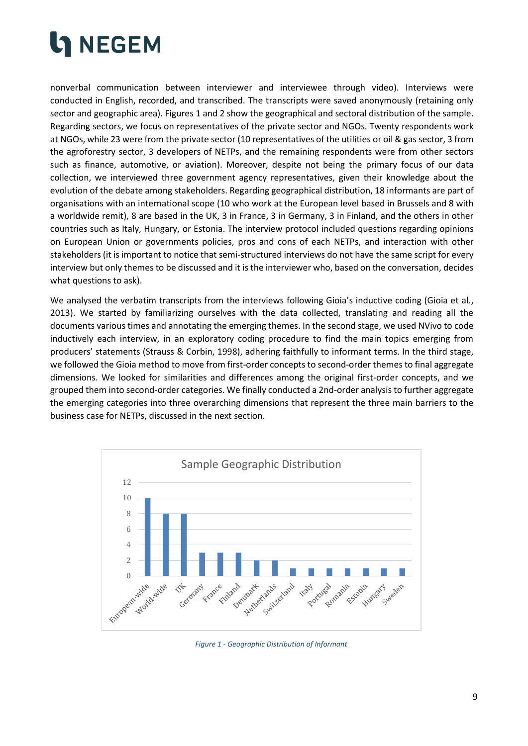

nonverbal communication between interviewer and interviewee through video). Interviews were conducted in English, recorded, and transcribed. The transcripts were saved anonymously (retaining only sector and geographic area). Figures 1 and 2 show the geographical and sectoral distribution of the sample. Regarding sectors, we focus on representatives of the private sector and NGOs. Twenty respondents work at NGOs, while 23 were from the private sector (10 representatives of the utilities or oil & gas sector, 3 from the agroforestry sector, 3 developers of NETPs, and the remaining respondents were from other sectors such as finance, automotive, or aviation). Moreover, despite not being the primary focus of our data collection, we interviewed three government agency representatives, given their knowledge about the evolution of the debate among stakeholders. Regarding geographical distribution, 18 informants are part of organisations with an international scope (10 who work at the European level based in Brussels and 8 with a worldwide remit), 8 are based in the UK, 3 in France, 3 in Germany, 3 in Finland, and the others in other countries such as Italy, Hungary, or Estonia. The interview protocol included questions regarding opinions on European Union or governments policies, pros and cons of each NETPs, and interaction with other stakeholders (it is important to notice that semi-structured interviews do not have the same script for every interview but only themes to be discussed and it is the interviewer who, based on the conversation, decides what questions to ask).

We analysed the verbatim transcripts from the interviews following Gioia's inductive coding (Gioia et al., 2013). We started by familiarizing ourselves with the data collected, translating and reading all the documents various times and annotating the emerging themes. In the second stage, we used NVivo to code inductively each interview, in an exploratory coding procedure to find the main topics emerging from producers' statements (Strauss & Corbin, 1998), adhering faithfully to informant terms. In the third stage, we followed the Gioia method to move from first-order concepts to second-order themes to final aggregate dimensions. We looked for similarities and differences among the original first-order concepts, and we grouped them into second-order categories. We finally conducted a 2nd-order analysis to further aggregate the emerging categories into three overarching dimensions that represent the three main barriers to the business case for NETPs, discussed in the next section.



<span id="page-8-0"></span>*Figure 1 - Geographic Distribution of Informant*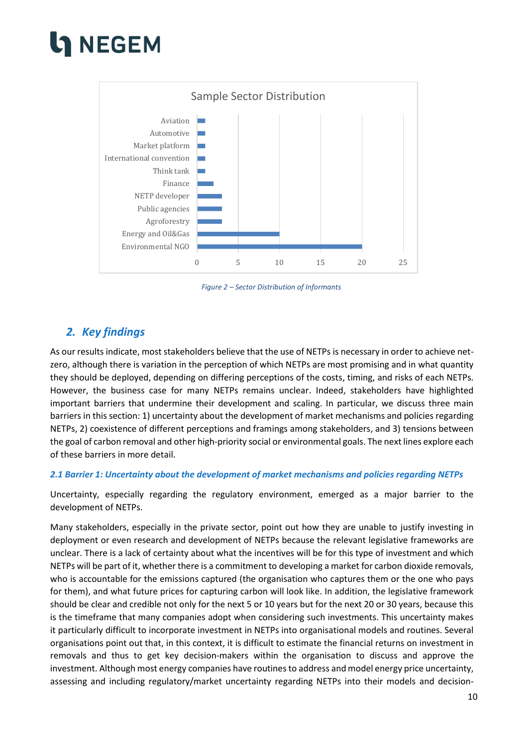## **NEGEM**



*Figure 2 – Sector Distribution of Informants*

### <span id="page-9-2"></span><span id="page-9-0"></span>*2. Key findings*

As our results indicate, most stakeholders believe that the use of NETPs is necessary in order to achieve netzero, although there is variation in the perception of which NETPs are most promising and in what quantity they should be deployed, depending on differing perceptions of the costs, timing, and risks of each NETPs. However, the business case for many NETPs remains unclear. Indeed, stakeholders have highlighted important barriers that undermine their development and scaling. In particular, we discuss three main barriers in this section: 1) uncertainty about the development of market mechanisms and policies regarding NETPs, 2) coexistence of different perceptions and framings among stakeholders, and 3) tensions between the goal of carbon removal and other high-priority social or environmental goals. The next lines explore each of these barriers in more detail.

#### <span id="page-9-1"></span>*2.1 Barrier 1: Uncertainty about the development of market mechanisms and policies regarding NETPs*

Uncertainty, especially regarding the regulatory environment, emerged as a major barrier to the development of NETPs.

Many stakeholders, especially in the private sector, point out how they are unable to justify investing in deployment or even research and development of NETPs because the relevant legislative frameworks are unclear. There is a lack of certainty about what the incentives will be for this type of investment and which NETPs will be part of it, whether there is a commitment to developing a market for carbon dioxide removals, who is accountable for the emissions captured (the organisation who captures them or the one who pays for them), and what future prices for capturing carbon will look like. In addition, the legislative framework should be clear and credible not only for the next 5 or 10 years but for the next 20 or 30 years, because this is the timeframe that many companies adopt when considering such investments. This uncertainty makes it particularly difficult to incorporate investment in NETPs into organisational models and routines. Several organisations point out that, in this context, it is difficult to estimate the financial returns on investment in removals and thus to get key decision-makers within the organisation to discuss and approve the investment. Although most energy companies have routines to address and model energy price uncertainty, assessing and including regulatory/market uncertainty regarding NETPs into their models and decision-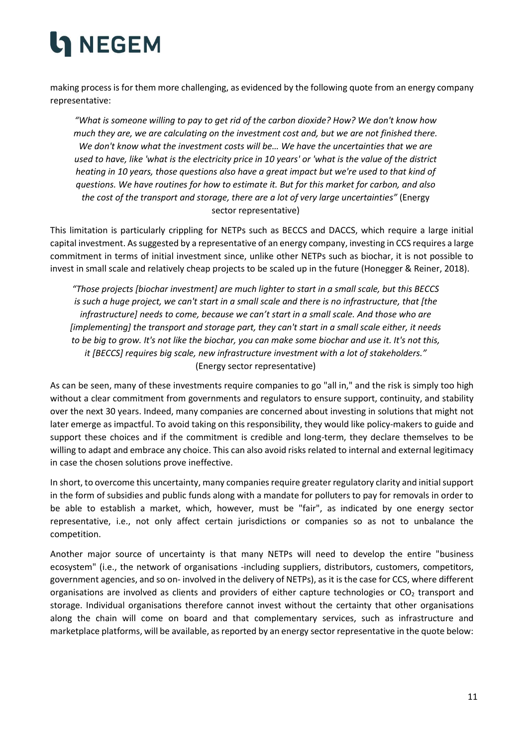making process is for them more challenging, as evidenced by the following quote from an energy company representative:

*"What is someone willing to pay to get rid of the carbon dioxide? How? We don't know how much they are, we are calculating on the investment cost and, but we are not finished there. We don't know what the investment costs will be… We have the uncertainties that we are used to have, like 'what is the electricity price in 10 years' or 'what is the value of the district heating in 10 years, those questions also have a great impact but we're used to that kind of questions. We have routines for how to estimate it. But for this market for carbon, and also the cost of the transport and storage, there are a lot of very large uncertainties"* (Energy sector representative)

This limitation is particularly crippling for NETPs such as BECCS and DACCS, which require a large initial capital investment. As suggested by a representative of an energy company, investing in CCS requires a large commitment in terms of initial investment since, unlike other NETPs such as biochar, it is not possible to invest in small scale and relatively cheap projects to be scaled up in the future (Honegger & Reiner, 2018).

*"Those projects [biochar investment] are much lighter to start in a small scale, but this BECCS is such a huge project, we can't start in a small scale and there is no infrastructure, that [the infrastructure] needs to come, because we can't start in a small scale. And those who are [implementing] the transport and storage part, they can't start in a small scale either, it needs to be big to grow. It's not like the biochar, you can make some biochar and use it. It's not this, it [BECCS] requires big scale, new infrastructure investment with a lot of stakeholders."*  (Energy sector representative)

As can be seen, many of these investments require companies to go "all in," and the risk is simply too high without a clear commitment from governments and regulators to ensure support, continuity, and stability over the next 30 years. Indeed, many companies are concerned about investing in solutions that might not later emerge as impactful. To avoid taking on this responsibility, they would like policy-makers to guide and support these choices and if the commitment is credible and long-term, they declare themselves to be willing to adapt and embrace any choice. This can also avoid risks related to internal and external legitimacy in case the chosen solutions prove ineffective.

In short, to overcome this uncertainty, many companies require greater regulatory clarity and initial support in the form of subsidies and public funds along with a mandate for polluters to pay for removals in order to be able to establish a market, which, however, must be "fair", as indicated by one energy sector representative, i.e., not only affect certain jurisdictions or companies so as not to unbalance the competition.

Another major source of uncertainty is that many NETPs will need to develop the entire "business ecosystem" (i.e., the network of organisations -including suppliers, distributors, customers, competitors, government agencies, and so on- involved in the delivery of NETPs), as it is the case for CCS, where different organisations are involved as clients and providers of either capture technologies or  $CO<sub>2</sub>$  transport and storage. Individual organisations therefore cannot invest without the certainty that other organisations along the chain will come on board and that complementary services, such as infrastructure and marketplace platforms, will be available, as reported by an energy sector representative in the quote below: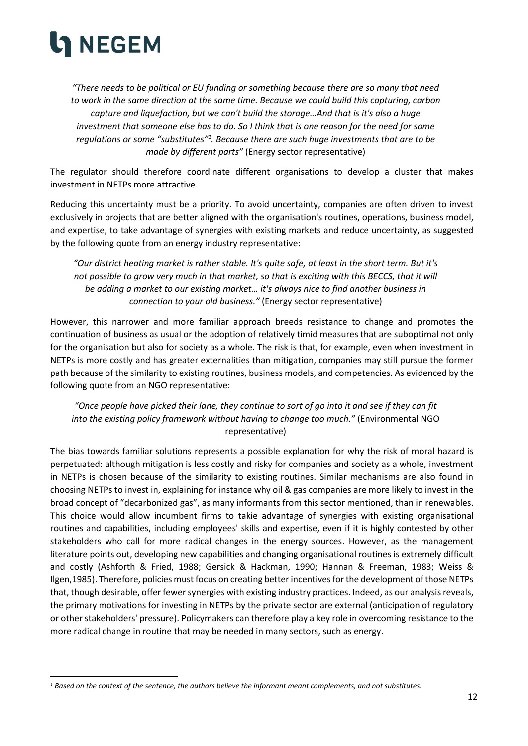

*"There needs to be political or EU funding or something because there are so many that need to work in the same direction at the same time. Because we could build this capturing, carbon capture and liquefaction, but we can't build the storage…And that is it's also a huge investment that someone else has to do. So I think that is one reason for the need for some regulations or some "substitutes" 1 . Because there are such huge investments that are to be made by different parts"* (Energy sector representative)

The regulator should therefore coordinate different organisations to develop a cluster that makes investment in NETPs more attractive.

Reducing this uncertainty must be a priority. To avoid uncertainty, companies are often driven to invest exclusively in projects that are better aligned with the organisation's routines, operations, business model, and expertise, to take advantage of synergies with existing markets and reduce uncertainty, as suggested by the following quote from an energy industry representative:

*"Our district heating market is rather stable. It's quite safe, at least in the short term. But it's not possible to grow very much in that market, so that is exciting with this BECCS, that it will be adding a market to our existing market… it's always nice to find another business in connection to your old business."* (Energy sector representative)

However, this narrower and more familiar approach breeds resistance to change and promotes the continuation of business as usual or the adoption of relatively timid measures that are suboptimal not only for the organisation but also for society as a whole. The risk is that, for example, even when investment in NETPs is more costly and has greater externalities than mitigation, companies may still pursue the former path because of the similarity to existing routines, business models, and competencies. As evidenced by the following quote from an NGO representative:

#### *"Once people have picked their lane, they continue to sort of go into it and see if they can fit into the existing policy framework without having to change too much."* (Environmental NGO representative)

The bias towards familiar solutions represents a possible explanation for why the risk of moral hazard is perpetuated: although mitigation is less costly and risky for companies and society as a whole, investment in NETPs is chosen because of the similarity to existing routines. Similar mechanisms are also found in choosing NETPs to invest in, explaining for instance why oil & gas companies are more likely to invest in the broad concept of "decarbonized gas", as many informants from this sector mentioned, than in renewables. This choice would allow incumbent firms to takie advantage of synergies with existing organisational routines and capabilities, including employees' skills and expertise, even if it is highly contested by other stakeholders who call for more radical changes in the energy sources. However, as the management literature points out, developing new capabilities and changing organisational routines is extremely difficult and costly (Ashforth & Fried, 1988; Gersick & Hackman, 1990; Hannan & Freeman, 1983; Weiss & Ilgen,1985). Therefore, policies must focus on creating better incentives for the development of those NETPs that, though desirable, offer fewer synergies with existing industry practices. Indeed, as our analysis reveals, the primary motivations for investing in NETPs by the private sector are external (anticipation of regulatory or other stakeholders' pressure). Policymakers can therefore play a key role in overcoming resistance to the more radical change in routine that may be needed in many sectors, such as energy.

*<sup>1</sup> Based on the context of the sentence, the authors believe the informant meant complements, and not substitutes.*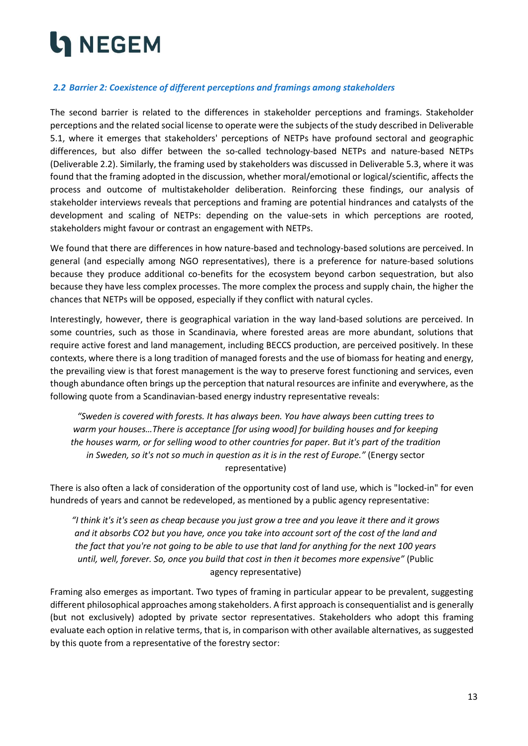#### <span id="page-12-0"></span>*2.2 Barrier 2: Coexistence of different perceptions and framings among stakeholders*

The second barrier is related to the differences in stakeholder perceptions and framings. Stakeholder perceptions and the related social license to operate were the subjects of the study described in Deliverable 5.1, where it emerges that stakeholders' perceptions of NETPs have profound sectoral and geographic differences, but also differ between the so-called technology-based NETPs and nature-based NETPs (Deliverable 2.2). Similarly, the framing used by stakeholders was discussed in Deliverable 5.3, where it was found that the framing adopted in the discussion, whether moral/emotional or logical/scientific, affects the process and outcome of multistakeholder deliberation. Reinforcing these findings, our analysis of stakeholder interviews reveals that perceptions and framing are potential hindrances and catalysts of the development and scaling of NETPs: depending on the value-sets in which perceptions are rooted, stakeholders might favour or contrast an engagement with NETPs.

We found that there are differences in how nature-based and technology-based solutions are perceived. In general (and especially among NGO representatives), there is a preference for nature-based solutions because they produce additional co-benefits for the ecosystem beyond carbon sequestration, but also because they have less complex processes. The more complex the process and supply chain, the higher the chances that NETPs will be opposed, especially if they conflict with natural cycles.

Interestingly, however, there is geographical variation in the way land-based solutions are perceived. In some countries, such as those in Scandinavia, where forested areas are more abundant, solutions that require active forest and land management, including BECCS production, are perceived positively. In these contexts, where there is a long tradition of managed forests and the use of biomass for heating and energy, the prevailing view is that forest management is the way to preserve forest functioning and services, even though abundance often brings up the perception that natural resources are infinite and everywhere, as the following quote from a Scandinavian-based energy industry representative reveals:

*"Sweden is covered with forests. It has always been. You have always been cutting trees to warm your houses…There is acceptance [for using wood] for building houses and for keeping the houses warm, or for selling wood to other countries for paper. But it's part of the tradition in Sweden, so it's not so much in question as it is in the rest of Europe."* (Energy sector representative)

There is also often a lack of consideration of the opportunity cost of land use, which is "locked-in" for even hundreds of years and cannot be redeveloped, as mentioned by a public agency representative:

*"I think it's it's seen as cheap because you just grow a tree and you leave it there and it grows and it absorbs CO2 but you have, once you take into account sort of the cost of the land and the fact that you're not going to be able to use that land for anything for the next 100 years until, well, forever. So, once you build that cost in then it becomes more expensive"* (Public agency representative)

Framing also emerges as important. Two types of framing in particular appear to be prevalent, suggesting different philosophical approaches among stakeholders. A first approach is consequentialist and is generally (but not exclusively) adopted by private sector representatives. Stakeholders who adopt this framing evaluate each option in relative terms, that is, in comparison with other available alternatives, as suggested by this quote from a representative of the forestry sector: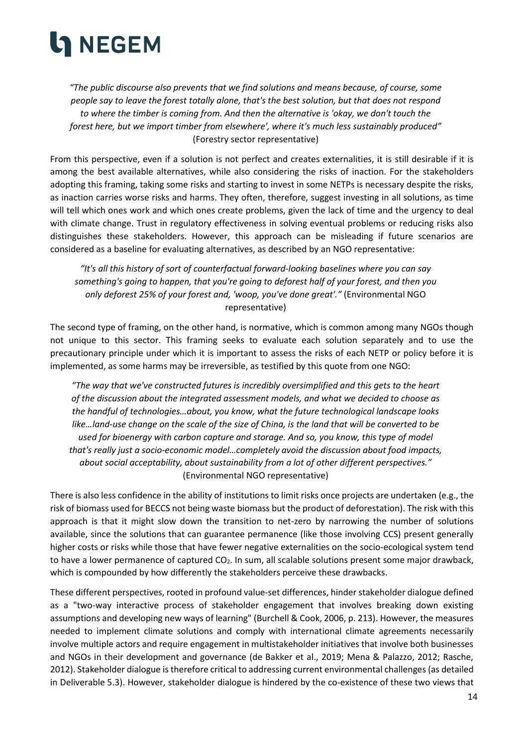*"The public discourse also prevents that we find solutions and means because, of course, some people say to leave the forest totally alone, that's the best solution, but that does not respond to where the timber is coming from. And then the alternative is 'okay, we don't touch the forest here, but we import timber from elsewhere', where it's much less sustainably produced"*  (Forestry sector representative)

From this perspective, even if a solution is not perfect and creates externalities, it is still desirable if it is among the best available alternatives, while also considering the risks of inaction. For the stakeholders adopting this framing, taking some risks and starting to invest in some NETPs is necessary despite the risks, as inaction carries worse risks and harms. They often, therefore, suggest investing in all solutions, as time will tell which ones work and which ones create problems, given the lack of time and the urgency to deal with climate change. Trust in regulatory effectiveness in solving eventual problems or reducing risks also distinguishes these stakeholders. However, this approach can be misleading if future scenarios are considered as a baseline for evaluating alternatives, as described by an NGO representative:

*"It's all this history of sort of counterfactual forward-looking baselines where you can say something's going to happen, that you're going to deforest half of your forest, and then you only deforest 25% of your forest and, 'woop, you've done great'."* (Environmental NGO representative)

The second type of framing, on the other hand, is normative, which is common among many NGOs though not unique to this sector. This framing seeks to evaluate each solution separately and to use the precautionary principle under which it is important to assess the risks of each NETP or policy before it is implemented, as some harms may be irreversible, as testified by this quote from one NGO:

*"The way that we've constructed futures is incredibly oversimplified and this gets to the heart of the discussion about the integrated assessment models, and what we decided to choose as the handful of technologies…about, you know, what the future technological landscape looks like…land-use change on the scale of the size of China, is the land that will be converted to be used for bioenergy with carbon capture and storage. And so, you know, this type of model that's really just a socio-economic model…completely avoid the discussion about food impacts, about social acceptability, about sustainability from a lot of other different perspectives."*  (Environmental NGO representative)

There is also less confidence in the ability of institutions to limit risks once projects are undertaken (e.g., the risk of biomass used for BECCS not being waste biomass but the product of deforestation). The risk with this approach is that it might slow down the transition to net-zero by narrowing the number of solutions available, since the solutions that can guarantee permanence (like those involving CCS) present generally higher costs or risks while those that have fewer negative externalities on the socio-ecological system tend to have a lower permanence of captured CO<sub>2</sub>. In sum, all scalable solutions present some major drawback, which is compounded by how differently the stakeholders perceive these drawbacks.

These different perspectives, rooted in profound value-set differences, hinder stakeholder dialogue defined as a "two-way interactive process of stakeholder engagement that involves breaking down existing assumptions and developing new ways of learning" (Burchell & Cook, 2006, p. 213). However, the measures needed to implement climate solutions and comply with international climate agreements necessarily involve multiple actors and require engagement in multistakeholder initiatives that involve both businesses and NGOs in their development and governance (de Bakker et al., 2019; Mena & Palazzo, 2012; Rasche, 2012). Stakeholder dialogue is therefore critical to addressing current environmental challenges (as detailed in Deliverable 5.3). However, stakeholder dialogue is hindered by the co-existence of these two views that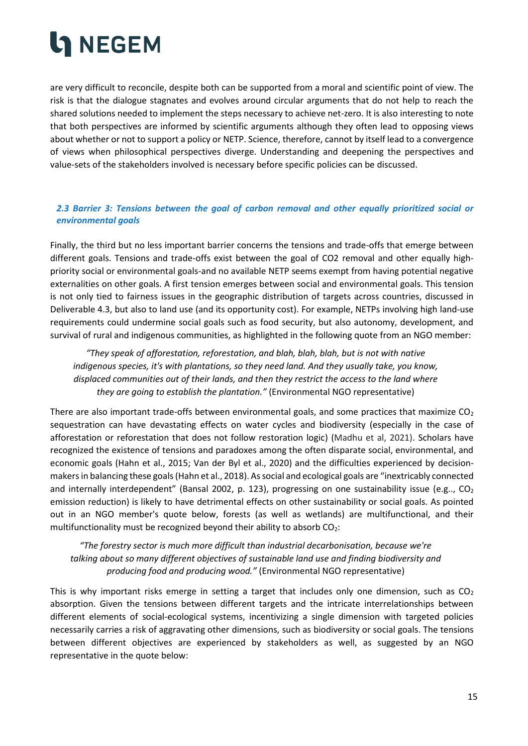

are very difficult to reconcile, despite both can be supported from a moral and scientific point of view. The risk is that the dialogue stagnates and evolves around circular arguments that do not help to reach the shared solutions needed to implement the steps necessary to achieve net-zero. It is also interesting to note that both perspectives are informed by scientific arguments although they often lead to opposing views about whether or not to support a policy or NETP. Science, therefore, cannot by itself lead to a convergence of views when philosophical perspectives diverge. Understanding and deepening the perspectives and value-sets of the stakeholders involved is necessary before specific policies can be discussed.

#### <span id="page-14-0"></span>*2.3 Barrier 3: Tensions between the goal of carbon removal and other equally prioritized social or environmental goals*

Finally, the third but no less important barrier concerns the tensions and trade-offs that emerge between different goals. Tensions and trade-offs exist between the goal of CO2 removal and other equally highpriority social or environmental goals-and no available NETP seems exempt from having potential negative externalities on other goals. A first tension emerges between social and environmental goals. This tension is not only tied to fairness issues in the geographic distribution of targets across countries, discussed in Deliverable 4.3, but also to land use (and its opportunity cost). For example, NETPs involving high land-use requirements could undermine social goals such as food security, but also autonomy, development, and survival of rural and indigenous communities, as highlighted in the following quote from an NGO member:

*"They speak of afforestation, reforestation, and blah, blah, blah, but is not with native indigenous species, it's with plantations, so they need land. And they usually take, you know, displaced communities out of their lands, and then they restrict the access to the land where they are going to establish the plantation."* (Environmental NGO representative)

There are also important trade-offs between environmental goals, and some practices that maximize  $CO<sub>2</sub>$ sequestration can have devastating effects on water cycles and biodiversity (especially in the case of afforestation or reforestation that does not follow restoration logic) (Madhu et al, 2021). Scholars have recognized the existence of tensions and paradoxes among the often disparate social, environmental, and economic goals (Hahn et al., 2015; Van der Byl et al., 2020) and the difficulties experienced by decisionmakersin balancing these goals (Hahn et al., 2018). As social and ecological goals are "inextricably connected and internally interdependent" (Bansal 2002, p. 123), progressing on one sustainability issue (e.g..,  $CO<sub>2</sub>$ emission reduction) is likely to have detrimental effects on other sustainability or social goals. As pointed out in an NGO member's quote below, forests (as well as wetlands) are multifunctional, and their multifunctionality must be recognized beyond their ability to absorb  $CO<sub>2</sub>$ :

*"The forestry sector is much more difficult than industrial decarbonisation, because we're talking about so many different objectives of sustainable land use and finding biodiversity and producing food and producing wood."* (Environmental NGO representative)

This is why important risks emerge in setting a target that includes only one dimension, such as  $CO<sub>2</sub>$ absorption. Given the tensions between different targets and the intricate interrelationships between different elements of social-ecological systems, incentivizing a single dimension with targeted policies necessarily carries a risk of aggravating other dimensions, such as biodiversity or social goals. The tensions between different objectives are experienced by stakeholders as well, as suggested by an NGO representative in the quote below: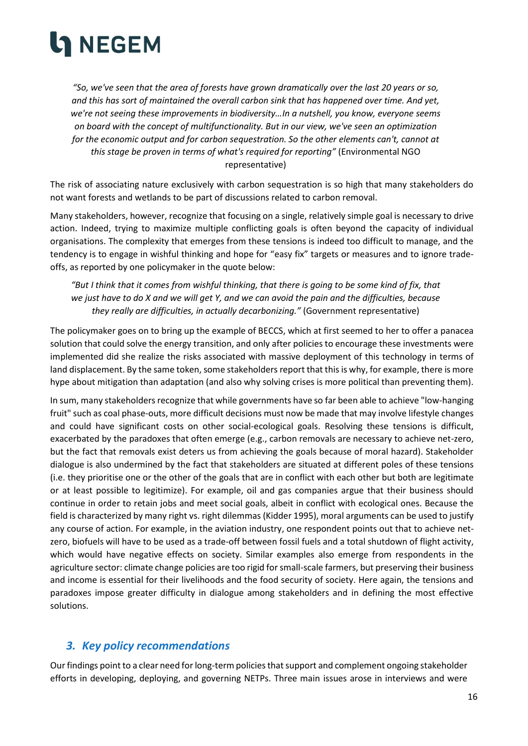

*"So, we've seen that the area of forests have grown dramatically over the last 20 years or so, and this has sort of maintained the overall carbon sink that has happened over time. And yet, we're not seeing these improvements in biodiversity…In a nutshell, you know, everyone seems on board with the concept of multifunctionality. But in our view, we've seen an optimization for the economic output and for carbon sequestration. So the other elements can't, cannot at this stage be proven in terms of what's required for reporting"* (Environmental NGO representative)

The risk of associating nature exclusively with carbon sequestration is so high that many stakeholders do not want forests and wetlands to be part of discussions related to carbon removal.

Many stakeholders, however, recognize that focusing on a single, relatively simple goal is necessary to drive action. Indeed, trying to maximize multiple conflicting goals is often beyond the capacity of individual organisations. The complexity that emerges from these tensions is indeed too difficult to manage, and the tendency is to engage in wishful thinking and hope for "easy fix" targets or measures and to ignore tradeoffs, as reported by one policymaker in the quote below:

*"But I think that it comes from wishful thinking, that there is going to be some kind of fix, that we just have to do X and we will get Y, and we can avoid the pain and the difficulties, because they really are difficulties, in actually decarbonizing."* (Government representative)

The policymaker goes on to bring up the example of BECCS, which at first seemed to her to offer a panacea solution that could solve the energy transition, and only after policies to encourage these investments were implemented did she realize the risks associated with massive deployment of this technology in terms of land displacement. By the same token, some stakeholders report that this is why, for example, there is more hype about mitigation than adaptation (and also why solving crises is more political than preventing them).

In sum, many stakeholders recognize that while governments have so far been able to achieve "low-hanging fruit" such as coal phase-outs, more difficult decisions must now be made that may involve lifestyle changes and could have significant costs on other social-ecological goals. Resolving these tensions is difficult, exacerbated by the paradoxes that often emerge (e.g., carbon removals are necessary to achieve net-zero, but the fact that removals exist deters us from achieving the goals because of moral hazard). Stakeholder dialogue is also undermined by the fact that stakeholders are situated at different poles of these tensions (i.e. they prioritise one or the other of the goals that are in conflict with each other but both are legitimate or at least possible to legitimize). For example, oil and gas companies argue that their business should continue in order to retain jobs and meet social goals, albeit in conflict with ecological ones. Because the field is characterized by many right vs. right dilemmas (Kidder 1995), moral arguments can be used to justify any course of action. For example, in the aviation industry, one respondent points out that to achieve netzero, biofuels will have to be used as a trade-off between fossil fuels and a total shutdown of flight activity, which would have negative effects on society. Similar examples also emerge from respondents in the agriculture sector: climate change policies are too rigid for small-scale farmers, but preserving their business and income is essential for their livelihoods and the food security of society. Here again, the tensions and paradoxes impose greater difficulty in dialogue among stakeholders and in defining the most effective solutions.

### <span id="page-15-0"></span>*3. Key policy recommendations*

Our findings point to a clear need for long-term policies that support and complement ongoing stakeholder efforts in developing, deploying, and governing NETPs. Three main issues arose in interviews and were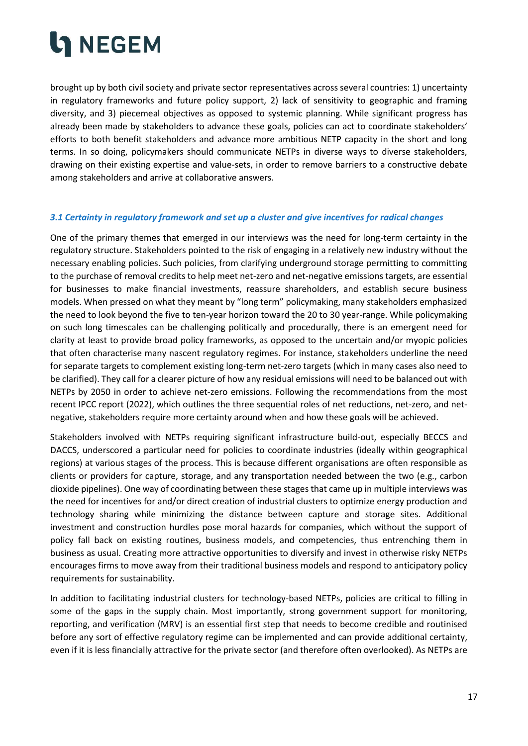

brought up by both civil society and private sector representatives across several countries: 1) uncertainty in regulatory frameworks and future policy support, 2) lack of sensitivity to geographic and framing diversity, and 3) piecemeal objectives as opposed to systemic planning. While significant progress has already been made by stakeholders to advance these goals, policies can act to coordinate stakeholders' efforts to both benefit stakeholders and advance more ambitious NETP capacity in the short and long terms. In so doing, policymakers should communicate NETPs in diverse ways to diverse stakeholders, drawing on their existing expertise and value-sets, in order to remove barriers to a constructive debate among stakeholders and arrive at collaborative answers.

#### <span id="page-16-0"></span>*3.1 Certainty in regulatory framework and set up a cluster and give incentives for radical changes*

One of the primary themes that emerged in our interviews was the need for long-term certainty in the regulatory structure. Stakeholders pointed to the risk of engaging in a relatively new industry without the necessary enabling policies. Such policies, from clarifying underground storage permitting to committing to the purchase of removal credits to help meet net-zero and net-negative emissions targets, are essential for businesses to make financial investments, reassure shareholders, and establish secure business models. When pressed on what they meant by "long term" policymaking, many stakeholders emphasized the need to look beyond the five to ten-year horizon toward the 20 to 30 year-range. While policymaking on such long timescales can be challenging politically and procedurally, there is an emergent need for clarity at least to provide broad policy frameworks, as opposed to the uncertain and/or myopic policies that often characterise many nascent regulatory regimes. For instance, stakeholders underline the need for separate targets to complement existing long-term net-zero targets (which in many cases also need to be clarified). They call for a clearer picture of how any residual emissions will need to be balanced out with NETPs by 2050 in order to achieve net-zero emissions. Following the recommendations from the most recent IPCC report (2022), which outlines the three sequential roles of net reductions, net-zero, and netnegative, stakeholders require more certainty around when and how these goals will be achieved.

Stakeholders involved with NETPs requiring significant infrastructure build-out, especially BECCS and DACCS, underscored a particular need for policies to coordinate industries (ideally within geographical regions) at various stages of the process. This is because different organisations are often responsible as clients or providers for capture, storage, and any transportation needed between the two (e.g., carbon dioxide pipelines). One way of coordinating between these stages that came up in multiple interviews was the need for incentives for and/or direct creation of industrial clusters to optimize energy production and technology sharing while minimizing the distance between capture and storage sites. Additional investment and construction hurdles pose moral hazards for companies, which without the support of policy fall back on existing routines, business models, and competencies, thus entrenching them in business as usual. Creating more attractive opportunities to diversify and invest in otherwise risky NETPs encourages firms to move away from their traditional business models and respond to anticipatory policy requirements for sustainability.

In addition to facilitating industrial clusters for technology-based NETPs, policies are critical to filling in some of the gaps in the supply chain. Most importantly, strong government support for monitoring, reporting, and verification (MRV) is an essential first step that needs to become credible and routinised before any sort of effective regulatory regime can be implemented and can provide additional certainty, even if it is less financially attractive for the private sector (and therefore often overlooked). As NETPs are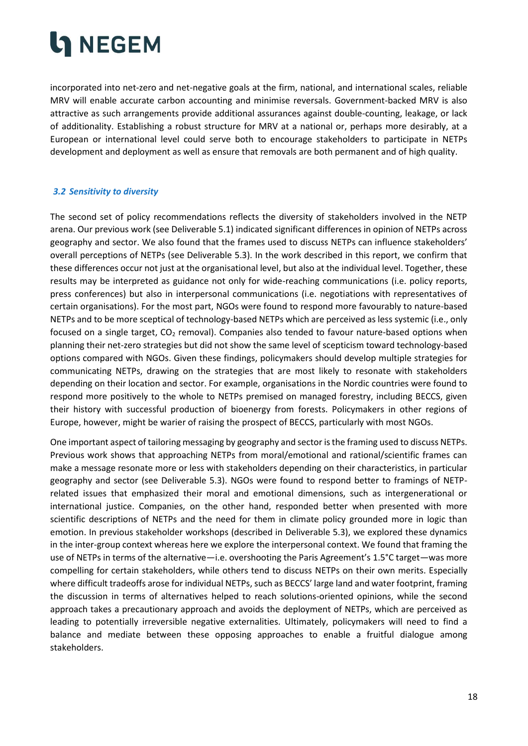incorporated into net-zero and net-negative goals at the firm, national, and international scales, reliable MRV will enable accurate carbon accounting and minimise reversals. Government-backed MRV is also attractive as such arrangements provide additional assurances against double-counting, leakage, or lack of additionality. Establishing a robust structure for MRV at a national or, perhaps more desirably, at a European or international level could serve both to encourage stakeholders to participate in NETPs development and deployment as well as ensure that removals are both permanent and of high quality.

#### <span id="page-17-0"></span>*3.2 Sensitivity to diversity*

The second set of policy recommendations reflects the diversity of stakeholders involved in the NETP arena. Our previous work (see Deliverable 5.1) indicated significant differences in opinion of NETPs across geography and sector. We also found that the frames used to discuss NETPs can influence stakeholders' overall perceptions of NETPs (see Deliverable 5.3). In the work described in this report, we confirm that these differences occur not just at the organisational level, but also at the individual level. Together, these results may be interpreted as guidance not only for wide-reaching communications (i.e. policy reports, press conferences) but also in interpersonal communications (i.e. negotiations with representatives of certain organisations). For the most part, NGOs were found to respond more favourably to nature-based NETPs and to be more sceptical of technology-based NETPs which are perceived as less systemic (i.e., only focused on a single target,  $CO<sub>2</sub>$  removal). Companies also tended to favour nature-based options when planning their net-zero strategies but did not show the same level of scepticism toward technology-based options compared with NGOs. Given these findings, policymakers should develop multiple strategies for communicating NETPs, drawing on the strategies that are most likely to resonate with stakeholders depending on their location and sector. For example, organisations in the Nordic countries were found to respond more positively to the whole to NETPs premised on managed forestry, including BECCS, given their history with successful production of bioenergy from forests. Policymakers in other regions of Europe, however, might be warier of raising the prospect of BECCS, particularly with most NGOs.

One important aspect of tailoring messaging by geography and sector is the framing used to discuss NETPs. Previous work shows that approaching NETPs from moral/emotional and rational/scientific frames can make a message resonate more or less with stakeholders depending on their characteristics, in particular geography and sector (see Deliverable 5.3). NGOs were found to respond better to framings of NETPrelated issues that emphasized their moral and emotional dimensions, such as intergenerational or international justice. Companies, on the other hand, responded better when presented with more scientific descriptions of NETPs and the need for them in climate policy grounded more in logic than emotion. In previous stakeholder workshops (described in Deliverable 5.3), we explored these dynamics in the inter-group context whereas here we explore the interpersonal context. We found that framing the use of NETPs in terms of the alternative—i.e. overshooting the Paris Agreement's 1.5°C target—was more compelling for certain stakeholders, while others tend to discuss NETPs on their own merits. Especially where difficult tradeoffs arose for individual NETPs, such as BECCS' large land and water footprint, framing the discussion in terms of alternatives helped to reach solutions-oriented opinions, while the second approach takes a precautionary approach and avoids the deployment of NETPs, which are perceived as leading to potentially irreversible negative externalities. Ultimately, policymakers will need to find a balance and mediate between these opposing approaches to enable a fruitful dialogue among stakeholders.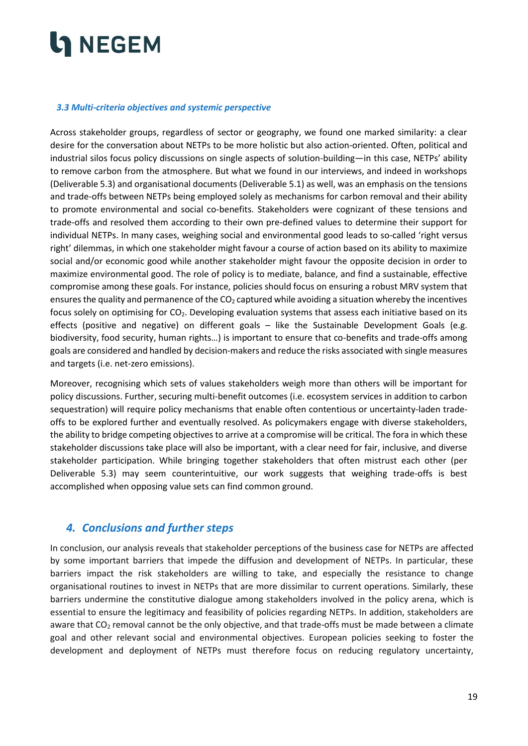#### <span id="page-18-0"></span>*3.3 Multi-criteria objectives and systemic perspective*

Across stakeholder groups, regardless of sector or geography, we found one marked similarity: a clear desire for the conversation about NETPs to be more holistic but also action-oriented. Often, political and industrial silos focus policy discussions on single aspects of solution-building—in this case, NETPs' ability to remove carbon from the atmosphere. But what we found in our interviews, and indeed in workshops (Deliverable 5.3) and organisational documents (Deliverable 5.1) as well, was an emphasis on the tensions and trade-offs between NETPs being employed solely as mechanisms for carbon removal and their ability to promote environmental and social co-benefits. Stakeholders were cognizant of these tensions and trade-offs and resolved them according to their own pre-defined values to determine their support for individual NETPs. In many cases, weighing social and environmental good leads to so-called 'right versus right' dilemmas, in which one stakeholder might favour a course of action based on its ability to maximize social and/or economic good while another stakeholder might favour the opposite decision in order to maximize environmental good. The role of policy is to mediate, balance, and find a sustainable, effective compromise among these goals. For instance, policies should focus on ensuring a robust MRV system that ensures the quality and permanence of the  $CO<sub>2</sub>$  captured while avoiding a situation whereby the incentives focus solely on optimising for  $CO<sub>2</sub>$ . Developing evaluation systems that assess each initiative based on its effects (positive and negative) on different goals – like the Sustainable Development Goals (e.g. biodiversity, food security, human rights…) is important to ensure that co-benefits and trade-offs among goals are considered and handled by decision-makers and reduce the risks associated with single measures and targets (i.e. net-zero emissions).

Moreover, recognising which sets of values stakeholders weigh more than others will be important for policy discussions. Further, securing multi-benefit outcomes (i.e. ecosystem services in addition to carbon sequestration) will require policy mechanisms that enable often contentious or uncertainty-laden tradeoffs to be explored further and eventually resolved. As policymakers engage with diverse stakeholders, the ability to bridge competing objectives to arrive at a compromise will be critical. The fora in which these stakeholder discussions take place will also be important, with a clear need for fair, inclusive, and diverse stakeholder participation. While bringing together stakeholders that often mistrust each other (per Deliverable 5.3) may seem counterintuitive, our work suggests that weighing trade-offs is best accomplished when opposing value sets can find common ground.

### <span id="page-18-1"></span>*4. Conclusions and further steps*

In conclusion, our analysis reveals that stakeholder perceptions of the business case for NETPs are affected by some important barriers that impede the diffusion and development of NETPs. In particular, these barriers impact the risk stakeholders are willing to take, and especially the resistance to change organisational routines to invest in NETPs that are more dissimilar to current operations. Similarly, these barriers undermine the constitutive dialogue among stakeholders involved in the policy arena, which is essential to ensure the legitimacy and feasibility of policies regarding NETPs. In addition, stakeholders are aware that CO<sub>2</sub> removal cannot be the only objective, and that trade-offs must be made between a climate goal and other relevant social and environmental objectives. European policies seeking to foster the development and deployment of NETPs must therefore focus on reducing regulatory uncertainty,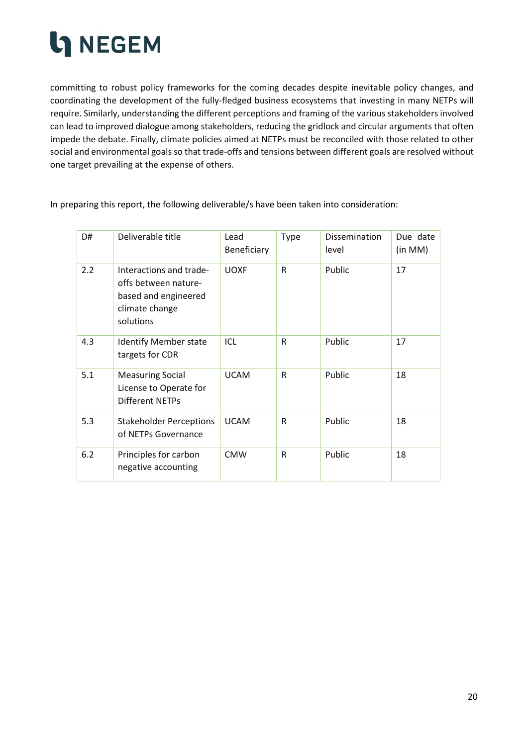

committing to robust policy frameworks for the coming decades despite inevitable policy changes, and coordinating the development of the fully-fledged business ecosystems that investing in many NETPs will require. Similarly, understanding the different perceptions and framing of the various stakeholders involved can lead to improved dialogue among stakeholders, reducing the gridlock and circular arguments that often impede the debate. Finally, climate policies aimed at NETPs must be reconciled with those related to other social and environmental goals so that trade-offs and tensions between different goals are resolved without one target prevailing at the expense of others.

In preparing this report, the following deliverable/s have been taken into consideration:

| D#  | Deliverable title                                                                                      | Lead<br>Beneficiary | Type         | <b>Dissemination</b><br>level | Due date<br>(in MM) |
|-----|--------------------------------------------------------------------------------------------------------|---------------------|--------------|-------------------------------|---------------------|
| 2.2 | Interactions and trade-<br>offs between nature-<br>based and engineered<br>climate change<br>solutions | <b>UOXF</b>         | $\mathsf{R}$ | Public                        | 17                  |
| 4.3 | <b>Identify Member state</b><br>targets for CDR                                                        | ICL                 | $\mathsf{R}$ | Public                        | 17                  |
| 5.1 | <b>Measuring Social</b><br>License to Operate for<br>Different NETPs                                   | <b>UCAM</b>         | $\mathsf{R}$ | Public                        | 18                  |
| 5.3 | <b>Stakeholder Perceptions</b><br>of NETPs Governance                                                  | <b>UCAM</b>         | R            | Public                        | 18                  |
| 6.2 | Principles for carbon<br>negative accounting                                                           | <b>CMW</b>          | R            | Public                        | 18                  |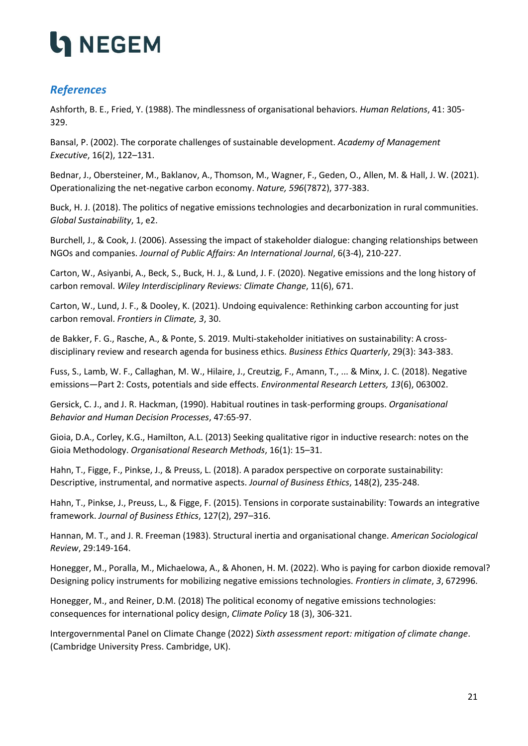### <span id="page-20-0"></span>*References*

Ashforth, B. E., Fried, Y. (1988). The mindlessness of organisational behaviors. *Human Relations*, 41: 305- 329.

Bansal, P. (2002). The corporate challenges of sustainable development. *Academy of Management Executive*, 16(2), 122–131.

Bednar, J., Obersteiner, M., Baklanov, A., Thomson, M., Wagner, F., Geden, O., Allen, M. & Hall, J. W. (2021). Operationalizing the net-negative carbon economy. *Nature, 596*(7872), 377-383.

Buck, H. J. (2018). The politics of negative emissions technologies and decarbonization in rural communities. *Global Sustainability*, 1, e2.

Burchell, J., & Cook, J. (2006). Assessing the impact of stakeholder dialogue: changing relationships between NGOs and companies. *Journal of Public Affairs: An International Journal*, 6(3‐4), 210-227.

Carton, W., Asiyanbi, A., Beck, S., Buck, H. J., & Lund, J. F. (2020). Negative emissions and the long history of carbon removal. *Wiley Interdisciplinary Reviews: Climate Change*, 11(6), 671.

Carton, W., Lund, J. F., & Dooley, K. (2021). Undoing equivalence: Rethinking carbon accounting for just carbon removal. *Frontiers in Climate, 3*, 30.

de Bakker, F. G., Rasche, A., & Ponte, S. 2019. Multi-stakeholder initiatives on sustainability: A crossdisciplinary review and research agenda for business ethics. *Business Ethics Quarterly*, 29(3): 343-383.

Fuss, S., Lamb, W. F., Callaghan, M. W., Hilaire, J., Creutzig, F., Amann, T., ... & Minx, J. C. (2018). Negative emissions—Part 2: Costs, potentials and side effects. *Environmental Research Letters, 13*(6), 063002.

Gersick, C. J., and J. R. Hackman, (1990). Habitual routines in task-performing groups. *Organisational Behavior and Human Decision Processes*, 47:65-97.

Gioia, D.A., Corley, K.G., Hamilton, A.L. (2013) Seeking qualitative rigor in inductive research: notes on the Gioia Methodology. *Organisational Research Methods*, 16(1): 15–31.

Hahn, T., Figge, F., Pinkse, J., & Preuss, L. (2018). A paradox perspective on corporate sustainability: Descriptive, instrumental, and normative aspects. *Journal of Business Ethics*, 148(2), 235-248.

Hahn, T., Pinkse, J., Preuss, L., & Figge, F. (2015). Tensions in corporate sustainability: Towards an integrative framework. *Journal of Business Ethics*, 127(2), 297–316.

Hannan, M. T., and J. R. Freeman (1983). Structural inertia and organisational change. *American Sociological Review*, 29:149-164.

Honegger, M., Poralla, M., Michaelowa, A., & Ahonen, H. M. (2022). Who is paying for carbon dioxide removal? Designing policy instruments for mobilizing negative emissions technologies. *Frontiers in climate*, *3*, 672996.

Honegger, M., and Reiner, D.M. (2018) The political economy of negative emissions technologies: consequences for international policy design, *Climate Policy* 18 (3), 306-321.

Intergovernmental Panel on Climate Change (2022) *Sixth assessment report: mitigation of climate change*. (Cambridge University Press. Cambridge, UK).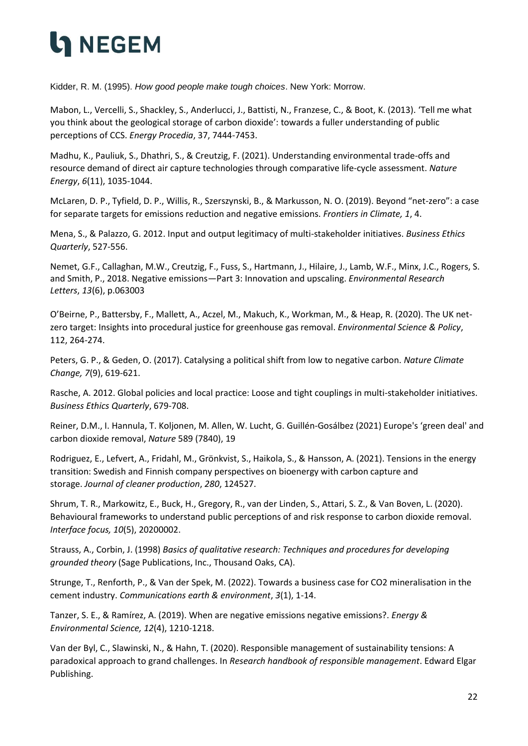Kidder, R. M. (1995). *How good people make tough choices*. New York: Morrow.

Mabon, L., Vercelli, S., Shackley, S., Anderlucci, J., Battisti, N., Franzese, C., & Boot, K. (2013). 'Tell me what you think about the geological storage of carbon dioxide': towards a fuller understanding of public perceptions of CCS. *Energy Procedia*, 37, 7444-7453.

Madhu, K., Pauliuk, S., Dhathri, S., & Creutzig, F. (2021). Understanding environmental trade-offs and resource demand of direct air capture technologies through comparative life-cycle assessment. *Nature Energy*, *6*(11), 1035-1044.

McLaren, D. P., Tyfield, D. P., Willis, R., Szerszynski, B., & Markusson, N. O. (2019). Beyond "net-zero": a case for separate targets for emissions reduction and negative emissions. *Frontiers in Climate, 1*, 4.

Mena, S., & Palazzo, G. 2012. Input and output legitimacy of multi-stakeholder initiatives. *Business Ethics Quarterly*, 527-556.

Nemet, G.F., Callaghan, M.W., Creutzig, F., Fuss, S., Hartmann, J., Hilaire, J., Lamb, W.F., Minx, J.C., Rogers, S. and Smith, P., 2018. Negative emissions—Part 3: Innovation and upscaling. *Environmental Research Letters*, *13*(6), p.063003

O'Beirne, P., Battersby, F., Mallett, A., Aczel, M., Makuch, K., Workman, M., & Heap, R. (2020). The UK netzero target: Insights into procedural justice for greenhouse gas removal. *Environmental Science & Policy*, 112, 264-274.

Peters, G. P., & Geden, O. (2017). Catalysing a political shift from low to negative carbon. *Nature Climate Change, 7*(9), 619-621.

Rasche, A. 2012. Global policies and local practice: Loose and tight couplings in multi-stakeholder initiatives. *Business Ethics Quarterly*, 679-708.

Reiner, D.M., I. Hannula, T. Koljonen, M. Allen, W. Lucht, G. Guillén-Gosálbez (2021) Europe's 'green deal' and carbon dioxide removal, *Nature* 589 (7840), 19

Rodriguez, E., Lefvert, A., Fridahl, M., Grönkvist, S., Haikola, S., & Hansson, A. (2021). Tensions in the energy transition: Swedish and Finnish company perspectives on bioenergy with carbon capture and storage. *Journal of cleaner production*, *280*, 124527.

Shrum, T. R., Markowitz, E., Buck, H., Gregory, R., van der Linden, S., Attari, S. Z., & Van Boven, L. (2020). Behavioural frameworks to understand public perceptions of and risk response to carbon dioxide removal. *Interface focus, 10*(5), 20200002.

Strauss, A., Corbin, J. (1998) *Basics of qualitative research: Techniques and procedures for developing grounded theory* (Sage Publications, Inc., Thousand Oaks, CA).

Strunge, T., Renforth, P., & Van der Spek, M. (2022). Towards a business case for CO2 mineralisation in the cement industry. *Communications earth & environment*, *3*(1), 1-14.

Tanzer, S. E., & Ramírez, A. (2019). When are negative emissions negative emissions?. *Energy & Environmental Science, 12*(4), 1210-1218.

Van der Byl, C., Slawinski, N., & Hahn, T. (2020). Responsible management of sustainability tensions: A paradoxical approach to grand challenges. In *Research handbook of responsible management*. Edward Elgar Publishing.